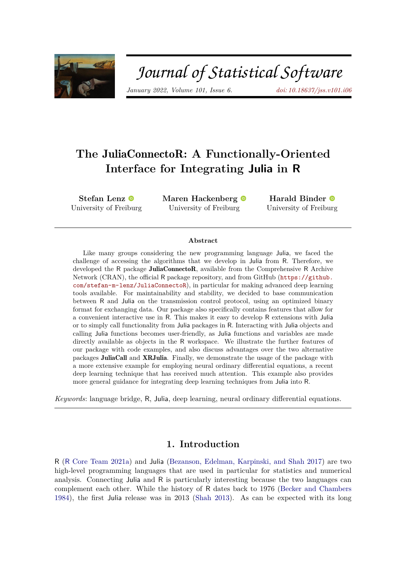

# Journal of Statistical Software

*January 2022, Volume 101, Issue 6. [doi: 10.18637/jss.v101.i06](https://doi.org/10.18637/jss.v101.i06)*

# **The** JuliaConnectoR**: A Functionally-Oriented Interface for Integrating Julia in R**

**Stefan Lenz** University of Frei[bu](https://orcid.org/0000-0001-9135-1743)rg **Maren Hackenberg** University of Freiburg

**Harald Binder** University of Freib[urg](https://orcid.org/0000-0002-5666-8662)

#### **Abstract**

Like many groups considering the new programming language Julia, we faced the challenge of accessing the algorithms that we develop in Julia from R. Therefore, we developed the R package JuliaConnectoR, available from the Comprehensive R Archive Network (CRAN), the official R package repository, and from GitHub ([https://github.](https://github.com/stefan-m-lenz/JuliaConnectoR) [com/stefan-m-lenz/JuliaConnectoR](https://github.com/stefan-m-lenz/JuliaConnectoR)), in particular for making advanced deep learning tools available. For maintainability and stability, we decided to base communication between R and Julia on the transmission control protocol, using an optimized binary format for exchanging data. Our package also specifically contains features that allow for a convenient interactive use in R. This makes it easy to develop R extensions with Julia or to simply call functionality from Julia packages in R. Interacting with Julia objects and calling Julia functions becomes user-friendly, as Julia functions and variables are made directly available as objects in the R workspace. We illustrate the further features of our package with code examples, and also discuss advantages over the two alternative packages JuliaCall and XRJulia. Finally, we demonstrate the usage of the package with a more extensive example for employing neural ordinary differential equations, a recent deep learning technique that has received much attention. This example also provides more general guidance for integrating deep learning techniques from Julia into R.

*Keywords*: language bridge, R, Julia, deep learning, neural ordinary differential equations.

# **1. Introduction**

R (R [Core Team](#page-22-0) [2021a\)](#page-22-0) and Julia [\(Bezanson, Edelman, Karpinski, and Shah](#page-20-0) [2017\)](#page-20-0) are two high-level programming languages that are used in particular for statistics and numerical analysis. Connecting Julia and R is particularly interesting because the two languages can complement each other. While the history of R dates back to 1976 [\(Becker and Chambers](#page-20-1) [1984\)](#page-20-1), the first Julia release was in 2013 [\(Shah](#page-22-1) [2013\)](#page-22-1). As can be expected with its long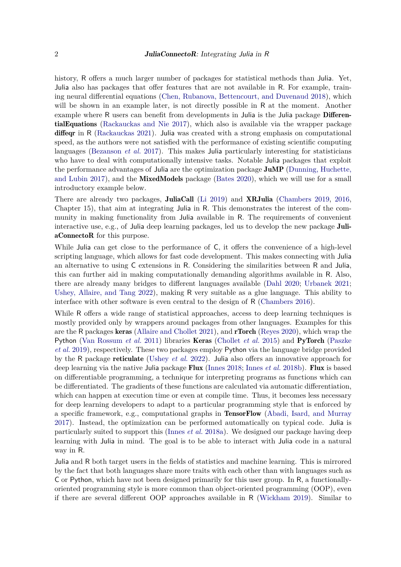history, R offers a much larger number of packages for statistical methods than Julia. Yet, Julia also has packages that offer features that are not available in R. For example, training neural differential equations [\(Chen, Rubanova, Bettencourt, and Duvenaud](#page-20-2) [2018\)](#page-20-2), which will be shown in an example later, is not directly possible in R at the moment. Another example where R users can benefit from developments in Julia is the Julia package **Differen**tialEquations [\(Rackauckas and Nie](#page-22-2) [2017\)](#page-22-2), which also is available via the wrapper package diffeqr in R [\(Rackauckas](#page-22-3) [2021\)](#page-22-3). Julia was created with a strong emphasis on computational speed, as the authors were not satisfied with the performance of existing scientific computing languages [\(Bezanson](#page-20-0) *et al.* [2017\)](#page-20-0). This makes Julia particularly interesting for statisticians who have to deal with computationally intensive tasks. Notable Julia packages that exploit the performance advantages of Julia are the optimization package JuMP [\(Dunning, Huchette,](#page-21-0) [and Lubin](#page-21-0) [2017\)](#page-21-0), and the MixedModels package [\(Bates](#page-20-3) [2020\)](#page-20-3), which we will use for a small introductory example below.

There are already two packages, JuliaCall [\(Li](#page-21-1) [2019\)](#page-21-1) and XRJulia [\(Chambers](#page-20-4) [2019,](#page-20-4) [2016,](#page-20-5) Chapter 15), that aim at integrating Julia in R. This demonstrates the interest of the community in making functionality from Julia available in R. The requirements of convenient interactive use, e.g., of Julia deep learning packages, led us to develop the new package JuliaConnectoR for this purpose.

While Julia can get close to the performance of C, it offers the convenience of a high-level scripting language, which allows for fast code development. This makes connecting with Julia an alternative to using C extensions in R. Considering the similarities between R and Julia, this can further aid in making computationally demanding algorithms available in R. Also, there are already many bridges to different languages available [\(Dahl](#page-20-6) [2020;](#page-20-6) [Urbanek](#page-22-4) [2021;](#page-22-4) [Ushey, Allaire, and Tang](#page-22-5) [2022\)](#page-22-5), making R very suitable as a glue language. This ability to interface with other software is even central to the design of R [\(Chambers](#page-20-5) [2016\)](#page-20-5).

While R offers a wide range of statistical approaches, access to deep learning techniques is mostly provided only by wrappers around packages from other languages. Examples for this are the R packages keras [\(Allaire and Chollet](#page-20-7) [2021\)](#page-20-7), and rTorch [\(Reyes](#page-22-6) [2020\)](#page-22-6), which wrap the Python [\(Van Rossum](#page-22-7) *et al.* [2011\)](#page-22-7) libraries Keras [\(Chollet](#page-20-8) *et al.* [2015\)](#page-20-8) and PyTorch [\(Paszke](#page-21-2) *[et al.](#page-21-2)* [2019\)](#page-21-2), respectively. These two packages employ Python via the language bridge provided by the R package reticulate [\(Ushey](#page-22-5) *et al.* [2022\)](#page-22-5). Julia also offers an innovative approach for deep learning via the native Julia package Flux [\(Innes](#page-21-3) [2018;](#page-21-3) [Innes](#page-21-4) *et al.* [2018b\)](#page-21-4). Flux is based on differentiable programming, a technique for interpreting programs as functions which can be differentiated. The gradients of these functions are calculated via automatic differentiation, which can happen at execution time or even at compile time. Thus, it becomes less necessary for deep learning developers to adapt to a particular programming style that is enforced by a specific framework, e.g., computational graphs in TensorFlow [\(Abadi, Isard, and Murray](#page-19-0) [2017\)](#page-19-0). Instead, the optimization can be performed automatically on typical code. Julia is particularly suited to support this [\(Innes](#page-21-5) *et al.* [2018a\)](#page-21-5). We designed our package having deep learning with Julia in mind. The goal is to be able to interact with Julia code in a natural way in R.

Julia and R both target users in the fields of statistics and machine learning. This is mirrored by the fact that both languages share more traits with each other than with languages such as C or Python, which have not been designed primarily for this user group. In R, a functionallyoriented programming style is more common than object-oriented programming (OOP), even if there are several different OOP approaches available in R [\(Wickham](#page-22-8) [2019\)](#page-22-8). Similar to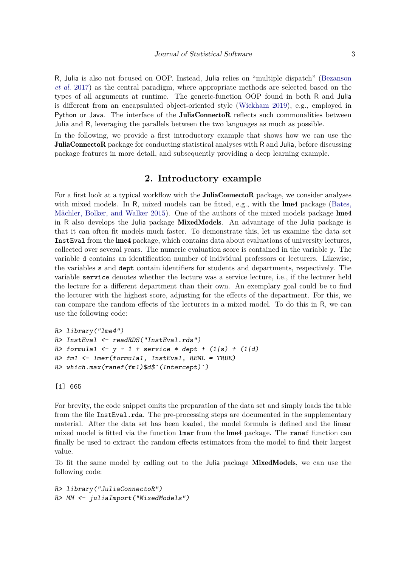R, Julia is also not focused on OOP. Instead, Julia relies on "multiple dispatch" [\(Bezanson](#page-20-0) *[et al.](#page-20-0)* [2017\)](#page-20-0) as the central paradigm, where appropriate methods are selected based on the types of all arguments at runtime. The generic-function OOP found in both R and Julia is different from an encapsulated object-oriented style [\(Wickham](#page-22-8) [2019\)](#page-22-8), e.g., employed in Python or Java. The interface of the **JuliaConnectoR** reflects such commonalities between Julia and R, leveraging the parallels between the two languages as much as possible.

In the following, we provide a first introductory example that shows how we can use the JuliaConnectoR package for conducting statistical analyses with R and Julia, before discussing package features in more detail, and subsequently providing a deep learning example.

# **2. Introductory example**

For a first look at a typical workflow with the **JuliaConnectoR** package, we consider analyses with mixed models. In R, mixed models can be fitted, e.g., with the **lme4** package [\(Bates,](#page-20-9) [Mächler, Bolker, and Walker](#page-20-9) [2015\)](#page-20-9). One of the authors of the mixed models package lme4 in R also develops the Julia package MixedModels. An advantage of the Julia package is that it can often fit models much faster. To demonstrate this, let us examine the data set InstEval from the lme4 package, which contains data about evaluations of university lectures, collected over several years. The numeric evaluation score is contained in the variable y. The variable d contains an identification number of individual professors or lecturers. Likewise, the variables s and dept contain identifiers for students and departments, respectively. The variable service denotes whether the lecture was a service lecture, i.e., if the lecturer held the lecture for a different department than their own. An exemplary goal could be to find the lecturer with the highest score, adjusting for the effects of the department. For this, we can compare the random effects of the lecturers in a mixed model. To do this in R, we can use the following code:

```
R> library("lme4")
R> InstEval <- readRDS("InstEval.rds")
R> formula1 <- y \sim 1 + service * dept + (1|s) + (1|d)
R> fm1 <- lmer(formula1, InstEval, REML = TRUE)
R> which.max(ranef(fm1)$d$`(Intercept)`)
```
[1] 665

For brevity, the code snippet omits the preparation of the data set and simply loads the table from the file InstEval.rda. The pre-processing steps are documented in the supplementary material. After the data set has been loaded, the model formula is defined and the linear mixed model is fitted via the function lmer from the lme4 package. The ranef function can finally be used to extract the random effects estimators from the model to find their largest value.

To fit the same model by calling out to the Julia package MixedModels, we can use the following code:

```
R> library("JuliaConnectoR")
R> MM <- juliaImport("MixedModels")
```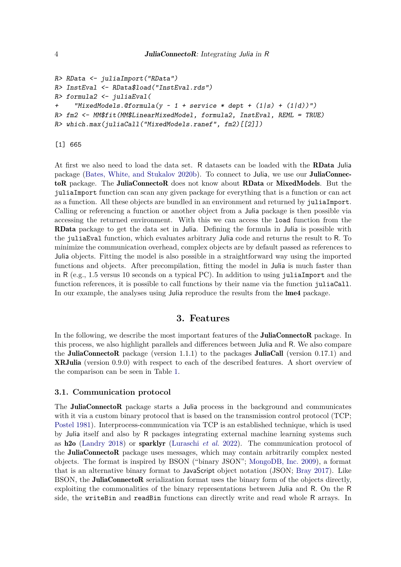```
R> RData <- juliaImport("RData")
R> InstEval <- RData$load("InstEval.rds")
R> formula2 <- juliaEval(
+ "MixedModels.@formula(y ~ 1 + service * dept + (1|s) + (1|d))")
R> fm2 <- MM$fit(MM$LinearMixedModel, formula2, InstEval, REML = TRUE)
R> which.max(juliaCall("MixedModels.ranef", fm2)[[2]])
```
[1] 665

At first we also need to load the data set. R datasets can be loaded with the RData Julia package [\(Bates, White, and Stukalov](#page-20-10) [2020b\)](#page-20-10). To connect to Julia, we use our JuliaConnectoR package. The JuliaConnectoR does not know about RData or MixedModels. But the juliaImport function can scan any given package for everything that is a function or can act as a function. All these objects are bundled in an environment and returned by juliaImport. Calling or referencing a function or another object from a Julia package is then possible via accessing the returned environment. With this we can access the load function from the RData package to get the data set in Julia. Defining the formula in Julia is possible with the juliaEval function, which evaluates arbitrary Julia code and returns the result to R. To minimize the communication overhead, complex objects are by default passed as references to Julia objects. Fitting the model is also possible in a straightforward way using the imported functions and objects. After precompilation, fitting the model in Julia is much faster than in R (e.g., 1.5 versus 10 seconds on a typical PC). In addition to using juliaImport and the function references, it is possible to call functions by their name via the function juliaCall. In our example, the analyses using Julia reproduce the results from the **lme4** package.

# **3. Features**

In the following, we describe the most important features of the **JuliaConnectoR** package. In this process, we also highlight parallels and differences between Julia and R. We also compare the **JuliaConnectoR** package (version 1.1.1) to the packages **JuliaCall** (version 0.17.1) and XRJulia (version 0.9.0) with respect to each of the described features. A short overview of the comparison can be seen in Table [1.](#page-4-0)

#### <span id="page-3-0"></span>**3.1. Communication protocol**

The JuliaConnectoR package starts a Julia process in the background and communicates with it via a custom binary protocol that is based on the transmission control protocol (TCP; [Postel](#page-22-9) [1981\)](#page-22-9). Interprocess-communication via TCP is an established technique, which is used by Julia itself and also by R packages integrating external machine learning systems such as h2o [\(Landry](#page-21-6) [2018\)](#page-21-6) or sparklyr [\(Luraschi](#page-21-7) *et al.* [2022\)](#page-21-7). The communication protocol of the JuliaConnectoR package uses messages, which may contain arbitrarily complex nested objects. The format is inspired by BSON ("binary JSON"; [MongoDB, Inc.](#page-21-8) [2009\)](#page-21-8), a format that is an alternative binary format to JavaScript object notation (JSON; [Bray](#page-20-11) [2017\)](#page-20-11). Like BSON, the **JuliaConnectoR** serialization format uses the binary form of the objects directly, exploiting the commonalities of the binary representations between Julia and R. On the R side, the writeBin and readBin functions can directly write and read whole R arrays. In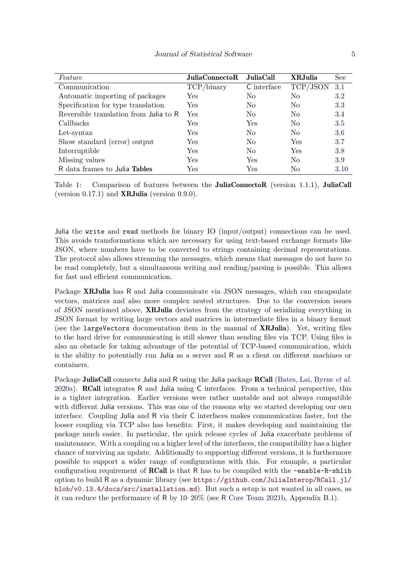| Feature                                | $\bm{\mathrm{JuliaConnectoR}}$ | JuliaCall      | <b>XRJulia</b> | See  |
|----------------------------------------|--------------------------------|----------------|----------------|------|
| Communication                          | TCP/binary                     | C interface    | TCP/JSON       | 3.1  |
| Automatic importing of packages        | Yes                            | No.            | N <sub>0</sub> | 3.2  |
| Specification for type translation     | Yes                            | No.            | N <sub>0</sub> | 3.3  |
| Reversible translation from Julia to R | Yes                            | N <sub>0</sub> | N <sub>0</sub> | 3.4  |
| Callbacks                              | Yes                            | Yes            | N <sub>0</sub> | 3.5  |
| Let-syntax                             | Yes                            | N <sub>0</sub> | N <sub>0</sub> | 3.6  |
| Show standard (error) output           | Yes                            | N <sub>0</sub> | Yes            | 3.7  |
| Interruptible                          | Yes                            | N <sub>0</sub> | Yes            | 3.8  |
| Missing values                         | Yes                            | Yes            | N <sub>0</sub> | 3.9  |
| R data frames to Julia Tables          | Yes                            | Yes            | No             | 3.10 |

<span id="page-4-0"></span>Table 1: Comparison of features between the **JuliaConnectoR** (version 1.1.1), **JuliaCall** (version  $0.17.1$ ) and **XRJulia** (version  $0.9.0$ ).

Julia the write and read methods for binary IO (input/output) connections can be used. This avoids transformations which are necessary for using text-based exchange formats like JSON, where numbers have to be converted to strings containing decimal representations. The protocol also allows streaming the messages, which means that messages do not have to be read completely, but a simultaneous writing and reading/parsing is possible. This allows for fast and efficient communication.

Package XRJulia has R and Julia communicate via JSON messages, which can encapsulate vectors, matrices and also more complex nested structures. Due to the conversion issues of JSON mentioned above, XRJulia deviates from the strategy of serializing everything in JSON format by writing large vectors and matrices in intermediate files in a binary format (see the largeVectors documentation item in the manual of XRJulia). Yet, writing files to the hard drive for communicating is still slower than sending files via TCP. Using files is also an obstacle for taking advantage of the potential of TCP-based communication, which is the ability to potentially run Julia as a server and R as a client on different machines or containers.

Package JuliaCall connects Julia and R using the Julia package RCall [\(Bates, Lai, Byrne](#page-20-12) *et al.* [2020a\)](#page-20-12). RCall integrates R and Julia using C interfaces. From a technical perspective, this is a tighter integration. Earlier versions were rather unstable and not always compatible with different Julia versions. This was one of the reasons why we started developing our own interface. Coupling Julia and R via their C interfaces makes communication faster, but the looser coupling via TCP also has benefits: First, it makes developing and maintaining the package much easier. In particular, the quick release cycles of Julia exacerbate problems of maintenance. With a coupling on a higher level of the interfaces, the compatibility has a higher chance of surviving an update. Additionally to supporting different versions, it is furthermore possible to support a wider range of configurations with this. For example, a particular configuration requirement of **RCall** is that R has to be compiled with the  $-\text{enable}-R-\text{shlib}$ option to build R as a dynamic library (see [https://github.com/JuliaInterop/RCall.jl/](https://github.com/JuliaInterop/RCall.jl/blob/v0.13.4/docs/src/installation.md) [blob/v0.13.4/docs/src/installation.md](https://github.com/JuliaInterop/RCall.jl/blob/v0.13.4/docs/src/installation.md)). But such a setup is not wanted in all cases, as it can reduce the performance of R by 10–20% (see R [Core Team](#page-22-10) [2021b,](#page-22-10) Appendix B.1).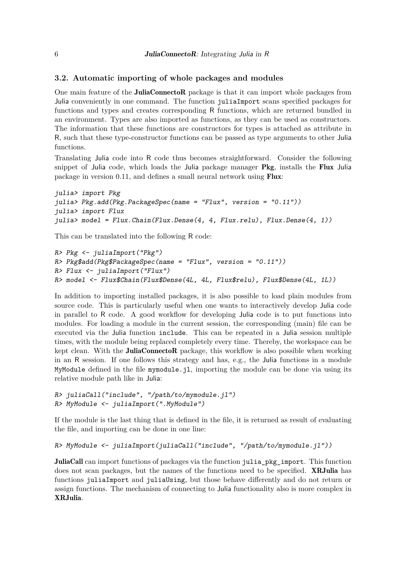#### <span id="page-5-0"></span>**3.2. Automatic importing of whole packages and modules**

One main feature of the JuliaConnectoR package is that it can import whole packages from Julia conveniently in one command. The function juliaImport scans specified packages for functions and types and creates corresponding R functions, which are returned bundled in an environment. Types are also imported as functions, as they can be used as constructors. The information that these functions are constructors for types is attached as attribute in R, such that these type-constructor functions can be passed as type arguments to other Julia functions.

Translating Julia code into R code thus becomes straightforward. Consider the following snippet of Julia code, which loads the Julia package manager Pkg, installs the Flux Julia package in version 0.11, and defines a small neural network using Flux:

```
julia> import Pkg
julia> Pkg.add(Pkg.PackageSpec(name = "Flux", version = "0.11"))
julia> import Flux
julia> model = Flux.Chain(Flux.Dense(4, 4, Flux.relu), Flux.Dense(4, 1))
```
This can be translated into the following R code:

```
R> Pkg <- juliaImport("Pkg")
R> Pkg$add(Pkg$PackageSpec(name = "Flux", version = "0.11"))
R> Flux <- juliaImport("Flux")
R> model <- Flux$Chain(Flux$Dense(4L, 4L, Flux$relu), Flux$Dense(4L, 1L))
```
In addition to importing installed packages, it is also possible to load plain modules from source code. This is particularly useful when one wants to interactively develop Julia code in parallel to R code. A good workflow for developing Julia code is to put functions into modules. For loading a module in the current session, the corresponding (main) file can be executed via the Julia function include. This can be repeated in a Julia session multiple times, with the module being replaced completely every time. Thereby, the workspace can be kept clean. With the **JuliaConnectoR** package, this workflow is also possible when working in an R session. If one follows this strategy and has, e.g., the Julia functions in a module MyModule defined in the file mymodule.jl, importing the module can be done via using its relative module path like in Julia:

```
R> juliaCall("include", "/path/to/mymodule.jl")
R> MyModule <- juliaImport(".MyModule")
```
If the module is the last thing that is defined in the file, it is returned as result of evaluating the file, and importing can be done in one line:

```
R> MyModule <- juliaImport(juliaCall("include", "/path/to/mymodule.jl"))
```
JuliaCall can import functions of packages via the function julia pkg\_import. This function does not scan packages, but the names of the functions need to be specified. **XRJulia** has functions juliaImport and juliaUsing, but those behave differently and do not return or assign functions. The mechanism of connecting to Julia functionality also is more complex in XRJulia.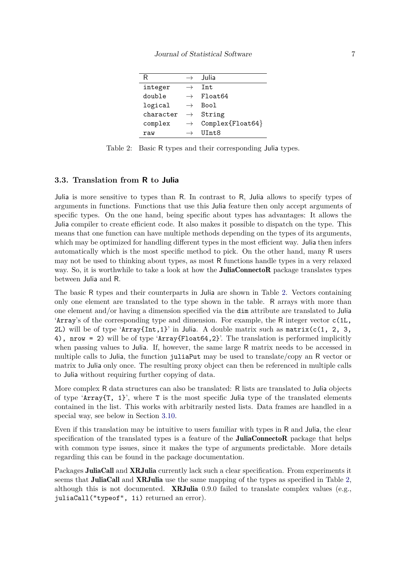| R         |               | . Julia                   |
|-----------|---------------|---------------------------|
| integer   |               | Tnt.                      |
| double    |               | Float64                   |
| logical   |               | Boo1                      |
| character | $\rightarrow$ | String                    |
| complex   | $\rightarrow$ | $Complex$ $F$ loat $64$ } |
| raw       |               | UInt.8                    |

<span id="page-6-1"></span>Table 2: Basic R types and their corresponding Julia types.

#### <span id="page-6-0"></span>**3.3. Translation from R to Julia**

Julia is more sensitive to types than R. In contrast to R, Julia allows to specify types of arguments in functions. Functions that use this Julia feature then only accept arguments of specific types. On the one hand, being specific about types has advantages: It allows the Julia compiler to create efficient code. It also makes it possible to dispatch on the type. This means that one function can have multiple methods depending on the types of its arguments, which may be optimized for handling different types in the most efficient way. Julia then infers automatically which is the most specific method to pick. On the other hand, many R users may not be used to thinking about types, as most R functions handle types in a very relaxed way. So, it is worthwhile to take a look at how the **JuliaConnectoR** package translates types between Julia and R.

The basic R types and their counterparts in Julia are shown in Table [2.](#page-6-1) Vectors containing only one element are translated to the type shown in the table. R arrays with more than one element and/or having a dimension specified via the dim attribute are translated to Julia 'Array's of the corresponding type and dimension. For example, the R integer vector c(1L, 2L) will be of type 'Array{Int,1}' in Julia. A double matrix such as matrix(c(1, 2, 3, 4), nrow = 2) will be of type 'Array{Float64,2}'. The translation is performed implicitly when passing values to Julia. If, however, the same large R matrix needs to be accessed in multiple calls to Julia, the function juliaPut may be used to translate/copy an R vector or matrix to Julia only once. The resulting proxy object can then be referenced in multiple calls to Julia without requiring further copying of data.

More complex R data structures can also be translated: R lists are translated to Julia objects of type 'Array $\{T, 1\}$ ', where T is the most specific Julia type of the translated elements contained in the list. This works with arbitrarily nested lists. Data frames are handled in a special way, see below in Section [3.10.](#page-11-1)

Even if this translation may be intuitive to users familiar with types in R and Julia, the clear specification of the translated types is a feature of the **JuliaConnectoR** package that helps with common type issues, since it makes the type of arguments predictable. More details regarding this can be found in the package documentation.

Packages JuliaCall and XRJulia currently lack such a clear specification. From experiments it seems that **JuliaCall** and **XRJulia** use the same mapping of the types as specified in Table [2,](#page-6-1) although this is not documented. **XRJulia** 0.9.0 failed to translate complex values (e.g., juliaCall("typeof", 1i) returned an error).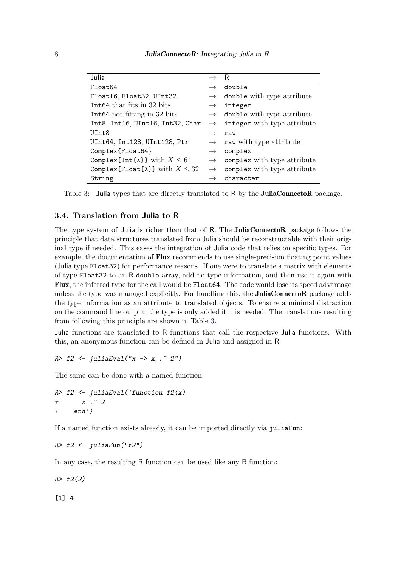| Julia                              |               | R                           |
|------------------------------------|---------------|-----------------------------|
| Float64                            | $\rightarrow$ | double                      |
| Float16, Float32, UInt32           | $\rightarrow$ | double with type attribute  |
| Int64 that fits in 32 bits         | $\rightarrow$ | integer                     |
| Int64 not fitting in 32 bits       | $\rightarrow$ | double with type attribute  |
| Int8, Int16, UInt16, Int32, Char   | $\rightarrow$ | integer with type attribute |
| UInt8                              | $\rightarrow$ | raw                         |
| UInt64, Int128, UInt128, Ptr       | $\rightarrow$ | raw with type attribute     |
| $Complex$ $F$ loat $64$ }          | $\rightarrow$ | complex                     |
| Complex{Int{X}} with $X \leq 64$   | $\rightarrow$ | complex with type attribute |
| Complex{Float{X}} with $X \leq 32$ | $\rightarrow$ | complex with type attribute |
| String                             |               | character                   |

<span id="page-7-1"></span>Table 3: Julia types that are directly translated to R by the **JuliaConnectoR** package.

#### <span id="page-7-0"></span>**3.4. Translation from Julia to R**

The type system of Julia is richer than that of R. The **JuliaConnectoR** package follows the principle that data structures translated from Julia should be reconstructable with their original type if needed. This eases the integration of Julia code that relies on specific types. For example, the documentation of **Flux** recommends to use single-precision floating point values (Julia type Float32) for performance reasons. If one were to translate a matrix with elements of type Float32 to an R double array, add no type information, and then use it again with Flux, the inferred type for the call would be Float64: The code would lose its speed advantage unless the type was managed explicitly. For handling this, the **JuliaConnectoR** package adds the type information as an attribute to translated objects. To ensure a minimal distraction on the command line output, the type is only added if it is needed. The translations resulting from following this principle are shown in Table [3.](#page-7-1)

Julia functions are translated to R functions that call the respective Julia functions. With this, an anonymous function can be defined in Julia and assigned in R:

R>  $f2 \leftarrow$  juliaEval("x -> x . ^ 2")

The same can be done with a named function:

R>  $f2 \leftarrow$  juliaEval('function  $f2(x)$ +  $x \cdot 2$ + end')

If a named function exists already, it can be imported directly via juliaFun:

```
R> f2 <- juliaFun("f2")
```
In any case, the resulting R function can be used like any R function:

 $R > f2(2)$ 

[1] 4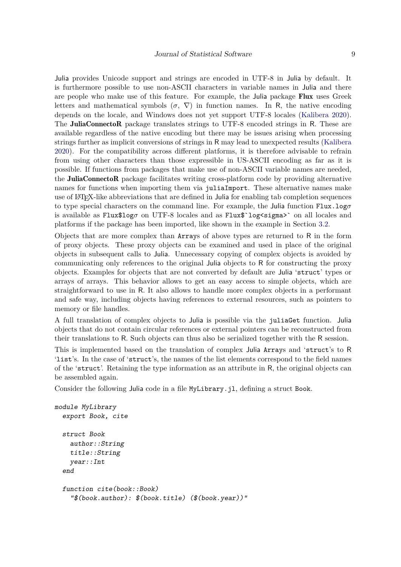Julia provides Unicode support and strings are encoded in UTF-8 in Julia by default. It is furthermore possible to use non-ASCII characters in variable names in Julia and there are people who make use of this feature. For example, the Julia package Flux uses Greek letters and mathematical symbols  $(\sigma, \nabla)$  in function names. In R, the native encoding depends on the locale, and Windows does not yet support UTF-8 locales [\(Kalibera](#page-21-9) [2020\)](#page-21-9). The **JuliaConnectoR** package translates strings to UTF-8 encoded strings in R. These are available regardless of the native encoding but there may be issues arising when processing strings further as implicit conversions of strings in R may lead to unexpected results [\(Kalibera](#page-21-9) [2020\)](#page-21-9). For the compatibility across different platforms, it is therefore advisable to refrain from using other characters than those expressible in US-ASCII encoding as far as it is possible. If functions from packages that make use of non-ASCII variable names are needed, the JuliaConnectoR package facilitates writing cross-platform code by providing alternative names for functions when importing them via juliaImport. These alternative names make use of LAT<sub>EX</sub>-like abbreviations that are defined in Julia for enabling tab completion sequences to type special characters on the command line. For example, the Julia function Flux.log*σ* is available as  $Flux$log $\sigma$  on UTF-8 locales and as Flux$log $\text{sigmax}$  on all locales and$ platforms if the package has been imported, like shown in the example in Section [3.2.](#page-5-0)

Objects that are more complex than Arrays of above types are returned to R in the form of proxy objects. These proxy objects can be examined and used in place of the original objects in subsequent calls to Julia. Unnecessary copying of complex objects is avoided by communicating only references to the original Julia objects to R for constructing the proxy objects. Examples for objects that are not converted by default are Julia 'struct' types or arrays of arrays. This behavior allows to get an easy access to simple objects, which are straightforward to use in R. It also allows to handle more complex objects in a performant and safe way, including objects having references to external resources, such as pointers to memory or file handles.

A full translation of complex objects to Julia is possible via the juliaGet function. Julia objects that do not contain circular references or external pointers can be reconstructed from their translations to R. Such objects can thus also be serialized together with the R session.

This is implemented based on the translation of complex Julia Arrays and 'struct's to R 'list's. In the case of 'struct's, the names of the list elements correspond to the field names of the 'struct'. Retaining the type information as an attribute in R, the original objects can be assembled again.

Consider the following Julia code in a file MyLibrary.jl, defining a struct Book.

```
module MyLibrary
  export Book, cite
  struct Book
    author::String
    title::String
    year::Int
  end
  function cite(book::Book)
    "$(book.author): $(book.title) ($(book.year))"
```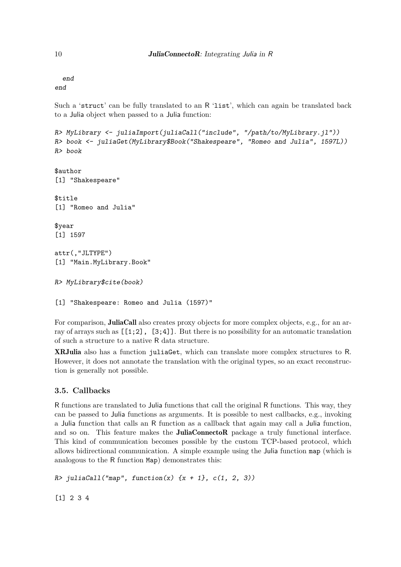end end

Such a 'struct' can be fully translated to an R 'list', which can again be translated back to a Julia object when passed to a Julia function:

```
R> MyLibrary <- juliaImport(juliaCall("include", "/path/to/MyLibrary.jl"))
R> book <- juliaGet(MyLibrary$Book("Shakespeare", "Romeo and Julia", 1597L))
R> book
$author
[1] "Shakespeare"
$title
[1] "Romeo and Julia"
$year
[1] 1597
attr(,"JLTYPE")
[1] "Main.MyLibrary.Book"
R> MyLibrary$cite(book)
[1] "Shakespeare: Romeo and Julia (1597)"
```
For comparison, **JuliaCall** also creates proxy objects for more complex objects, e.g., for an array of arrays such as  $[[1;2], [3;4]]$ . But there is no possibility for an automatic translation of such a structure to a native R data structure.

XRJulia also has a function juliaGet, which can translate more complex structures to R. However, it does not annotate the translation with the original types, so an exact reconstruction is generally not possible.

# <span id="page-9-0"></span>**3.5. Callbacks**

R functions are translated to Julia functions that call the original R functions. This way, they can be passed to Julia functions as arguments. It is possible to nest callbacks, e.g., invoking a Julia function that calls an R function as a callback that again may call a Julia function, and so on. This feature makes the **JuliaConnectoR** package a truly functional interface. This kind of communication becomes possible by the custom TCP-based protocol, which allows bidirectional communication. A simple example using the Julia function map (which is analogous to the R function Map) demonstrates this:

```
R> juliaCall("map", function(x) {x + 1}, c(1, 2, 3))
```
[1] 2 3 4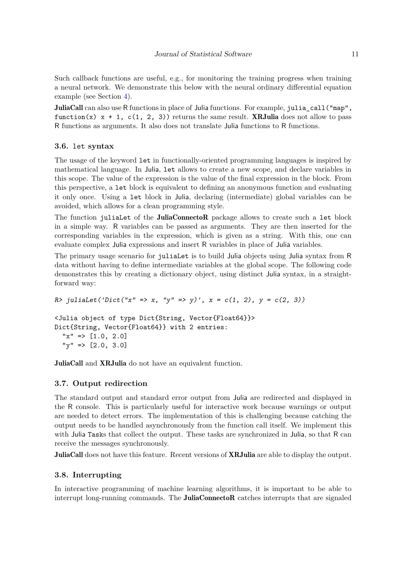Such callback functions are useful, e.g., for monitoring the training progress when training a neural network. We demonstrate this below with the neural ordinary differential equation example (see Section [4\)](#page-12-0).

JuliaCall can also use R functions in place of Julia functions. For example, julia call ("map", function(x)  $x + 1$ ,  $c(1, 2, 3)$ ) returns the same result. **XRJulia** does not allow to pass R functions as arguments. It also does not translate Julia functions to R functions.

#### <span id="page-10-0"></span>**3.6.** let **syntax**

The usage of the keyword let in functionally-oriented programming languages is inspired by mathematical language. In Julia, let allows to create a new scope, and declare variables in this scope. The value of the expression is the value of the final expression in the block. From this perspective, a let block is equivalent to defining an anonymous function and evaluating it only once. Using a let block in Julia, declaring (intermediate) global variables can be avoided, which allows for a clean programming style.

The function juliaLet of the **JuliaConnectoR** package allows to create such a let block in a simple way. R variables can be passed as arguments. They are then inserted for the corresponding variables in the expression, which is given as a string. With this, one can evaluate complex Julia expressions and insert R variables in place of Julia variables.

The primary usage scenario for juliaLet is to build Julia objects using Julia syntax from R data without having to define intermediate variables at the global scope. The following code demonstrates this by creating a dictionary object, using distinct Julia syntax, in a straightforward way:

```
R> juliaLet('Dict("x" => x, "y" => y)', x = c(1, 2), y = c(2, 3))
<Julia object of type Dict{String, Vector{Float64}}>
Dict{String, Vector{Float64}} with 2 entries:
  "x" => [1.0, 2.0]"\mathbf{y}" \Rightarrow [2.0, 3.0]
```
JuliaCall and XRJulia do not have an equivalent function.

#### <span id="page-10-1"></span>**3.7. Output redirection**

The standard output and standard error output from Julia are redirected and displayed in the R console. This is particularly useful for interactive work because warnings or output are needed to detect errors. The implementation of this is challenging because catching the output needs to be handled asynchronously from the function call itself. We implement this with Julia Tasks that collect the output. These tasks are synchronized in Julia, so that R can receive the messages synchronously.

JuliaCall does not have this feature. Recent versions of **XRJulia** are able to display the output.

### <span id="page-10-2"></span>**3.8. Interrupting**

In interactive programming of machine learning algorithms, it is important to be able to interrupt long-running commands. The **JuliaConnectoR** catches interrupts that are signaled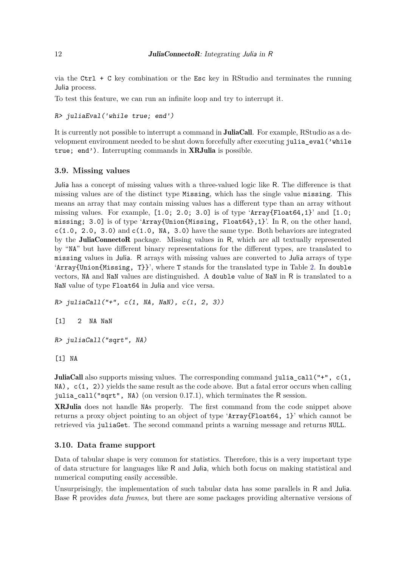via the Ctrl  $+$  C key combination or the Esc key in RStudio and terminates the running Julia process.

To test this feature, we can run an infinite loop and try to interrupt it.

```
R> juliaEval('while true; end')
```
It is currently not possible to interrupt a command in **JuliaCall**. For example, RStudio as a development environment needed to be shut down forcefully after executing julia\_eval('while true; end'). Interrupting commands in **XRJulia** is possible.

#### <span id="page-11-0"></span>**3.9. Missing values**

Julia has a concept of missing values with a three-valued logic like R. The difference is that missing values are of the distinct type Missing, which has the single value missing. This means an array that may contain missing values has a different type than an array without missing values. For example,  $[1.0; 2.0; 3.0]$  is of type 'Array $\{\text{Flat64},1\}$ ' and  $[1.0;$ missing; 3.0] is of type 'Array{Union{Missing, Float64},1}'. In R, on the other hand,  $c(1.0, 2.0, 3.0)$  and  $c(1.0, NA, 3.0)$  have the same type. Both behaviors are integrated by the JuliaConnectoR package. Missing values in R, which are all textually represented by "NA" but have different binary representations for the different types, are translated to missing values in Julia. R arrays with missing values are converted to Julia arrays of type 'Array $\{Union\{Missing, T\}\}'$ , where T stands for the translated type in Table [2.](#page-6-1) In double vectors, NA and NaN values are distinguished. A double value of NaN in R is translated to a NaN value of type Float64 in Julia and vice versa.

 $R$ > juliaCall("+", c(1, NA, NaN), c(1, 2, 3))

```
[1] 2 NA NaN
```

```
R> juliaCall("sqrt", NA)
```
[1] NA

JuliaCall also supports missing values. The corresponding command julia\_call("+", c(1, NA), c(1, 2)) yields the same result as the code above. But a fatal error occurs when calling julia\_call("sqrt", NA) (on version 0.17.1), which terminates the R session.

XRJulia does not handle NAs properly. The first command from the code snippet above returns a proxy object pointing to an object of type 'Array{Float64, 1}' which cannot be retrieved via juliaGet. The second command prints a warning message and returns NULL.

#### <span id="page-11-1"></span>**3.10. Data frame support**

Data of tabular shape is very common for statistics. Therefore, this is a very important type of data structure for languages like R and Julia, which both focus on making statistical and numerical computing easily accessible.

Unsurprisingly, the implementation of such tabular data has some parallels in R and Julia. Base R provides *data frames*, but there are some packages providing alternative versions of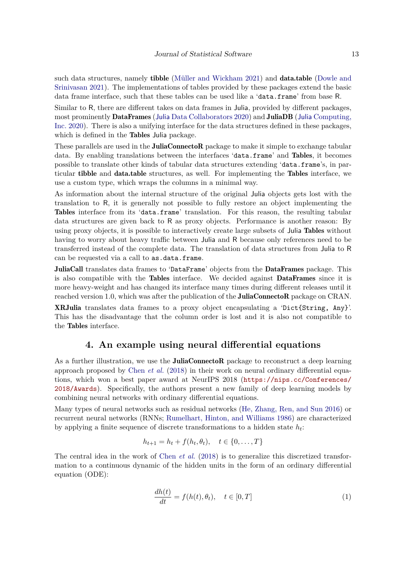such data structures, namely **tibble** [\(Müller and Wickham](#page-21-10) [2021\)](#page-21-10) and **data.table** [\(Dowle and](#page-20-13) [Srinivasan](#page-20-13) [2021\)](#page-20-13). The implementations of tables provided by these packages extend the basic data frame interface, such that these tables can be used like a 'data.frame' from base R.

Similar to R, there are different takes on data frames in Julia, provided by different packages, most prominently **DataFrames** (Julia [Data Collaborators](#page-21-11) [2020\)](#page-21-11) and **JuliaDB** (Julia [Computing,](#page-21-12) [Inc.](#page-21-12) [2020\)](#page-21-12). There is also a unifying interface for the data structures defined in these packages, which is defined in the **Tables** Julia package.

These parallels are used in the **JuliaConnectoR** package to make it simple to exchange tabular data. By enabling translations between the interfaces 'data.frame' and Tables, it becomes possible to translate other kinds of tabular data structures extending 'data.frame's, in particular tibble and data.table structures, as well. For implementing the Tables interface, we use a custom type, which wraps the columns in a minimal way.

As information about the internal structure of the original Julia objects gets lost with the translation to R, it is generally not possible to fully restore an object implementing the Tables interface from its 'data.frame' translation. For this reason, the resulting tabular data structures are given back to R as proxy objects. Performance is another reason: By using proxy objects, it is possible to interactively create large subsets of Julia Tables without having to worry about heavy traffic between Julia and R because only references need to be transferred instead of the complete data. The translation of data structures from Julia to R can be requested via a call to as.data.frame.

JuliaCall translates data frames to 'DataFrame' objects from the DataFrames package. This is also compatible with the Tables interface. We decided against DataFrames since it is more heavy-weight and has changed its interface many times during different releases until it reached version 1.0, which was after the publication of the **JuliaConnectoR** package on CRAN.

XRJulia translates data frames to a proxy object encapsulating a 'Dict{String, Any}'. This has the disadvantage that the column order is lost and it is also not compatible to the Tables interface.

## **4. An example using neural differential equations**

<span id="page-12-0"></span>As a further illustration, we use the **JuliaConnectoR** package to reconstruct a deep learning approach proposed by [Chen](#page-20-2) *et al.* [\(2018\)](#page-20-2) in their work on neural ordinary differential equations, which won a best paper award at NeurIPS 2018 ([https://nips.cc/Conferences/](https://nips.cc/Conferences/2018/Awards) [2018/Awards](https://nips.cc/Conferences/2018/Awards)). Specifically, the authors present a new family of deep learning models by combining neural networks with ordinary differential equations.

Many types of neural networks such as residual networks [\(He, Zhang, Ren, and Sun](#page-21-13) [2016\)](#page-21-13) or recurrent neural networks (RNNs; [Rumelhart, Hinton, and Williams](#page-22-11) [1986\)](#page-22-11) are characterized by applying a finite sequence of discrete transformations to a hidden state *h<sup>t</sup>* :

$$
h_{t+1} = h_t + f(h_t, \theta_t), \quad t \in \{0, \dots, T\}
$$

The central idea in the work of [Chen](#page-20-2) *et al.* [\(2018\)](#page-20-2) is to generalize this discretized transformation to a continuous dynamic of the hidden units in the form of an ordinary differential equation (ODE):

<span id="page-12-1"></span>
$$
\frac{dh(t)}{dt} = f(h(t), \theta_t), \quad t \in [0, T] \tag{1}
$$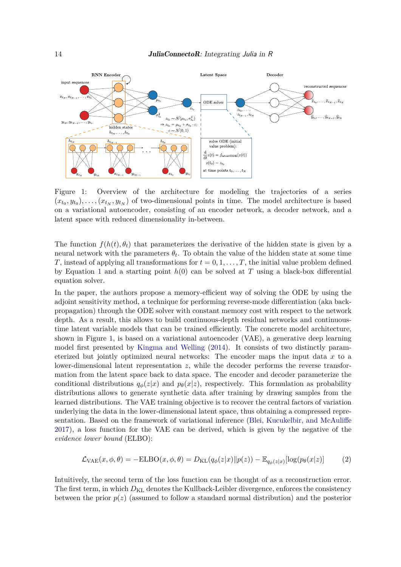

<span id="page-13-0"></span>Figure 1: Overview of the architecture for modeling the trajectories of a series  $(x_{t_0}, y_{t_0}), \ldots, (x_{t_N}, y_{t_N})$  of two-dimensional points in time. The model architecture is based on a variational autoencoder, consisting of an encoder network, a decoder network, and a latent space with reduced dimensionality in-between.

The function  $f(h(t), \theta_t)$  that parameterizes the derivative of the hidden state is given by a neural network with the parameters  $\theta_t$ . To obtain the value of the hidden state at some time *T*, instead of applying all transformations for  $t = 0, 1, \ldots, T$ , the initial value problem defined by Equation [1](#page-12-1) and a starting point  $h(0)$  can be solved at T using a black-box differential equation solver.

In the paper, the authors propose a memory-efficient way of solving the ODE by using the adjoint sensitivity method, a technique for performing reverse-mode differentiation (aka backpropagation) through the ODE solver with constant memory cost with respect to the network depth. As a result, this allows to build continuous-depth residual networks and continuoustime latent variable models that can be trained efficiently. The concrete model architecture, shown in Figure [1,](#page-13-0) is based on a variational autoencoder (VAE), a generative deep learning model first presented by [Kingma and Welling](#page-21-14) [\(2014\)](#page-21-14). It consists of two distinctly parameterized but jointly optimized neural networks: The encoder maps the input data *x* to a lower-dimensional latent representation *z*, while the decoder performs the reverse transformation from the latent space back to data space. The encoder and decoder parameterize the conditional distributions  $q_{\phi}(z|x)$  and  $p_{\theta}(x|z)$ , respectively. This formulation as probability distributions allows to generate synthetic data after training by drawing samples from the learned distributions. The VAE training objective is to recover the central factors of variation underlying the data in the lower-dimensional latent space, thus obtaining a compressed representation. Based on the framework of variational inference [\(Blei, Kucukelbir, and McAuliffe](#page-20-14) [2017\)](#page-20-14), a loss function for the VAE can be derived, which is given by the negative of the *evidence lower bound* (ELBO):

<span id="page-13-1"></span>
$$
\mathcal{L}_{\text{VAE}}(x,\phi,\theta) = -\text{ELBO}(x,\phi,\theta) = D_{\text{KL}}(q_{\phi}(z|x)||p(z)) - \mathbb{E}_{q_{\phi}(z|x)}[\log(p_{\theta}(x|z))]
$$
(2)

Intuitively, the second term of the loss function can be thought of as a reconstruction error. The first term, in which  $D_{\text{KL}}$  denotes the Kullback-Leibler divergence, enforces the consistency between the prior  $p(z)$  (assumed to follow a standard normal distribution) and the posterior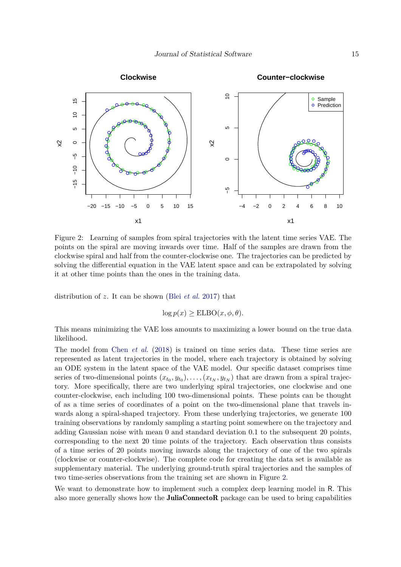

<span id="page-14-0"></span>Figure 2: Learning of samples from spiral trajectories with the latent time series VAE. The points on the spiral are moving inwards over time. Half of the samples are drawn from the clockwise spiral and half from the counter-clockwise one. The trajectories can be predicted by solving the differential equation in the VAE latent space and can be extrapolated by solving it at other time points than the ones in the training data.

distribution of *z*. It can be shown (Blei *[et al.](#page-20-14)* [2017\)](#page-20-14) that

 $\log p(x) \geq \text{ELBO}(x, \phi, \theta).$ 

This means minimizing the VAE loss amounts to maximizing a lower bound on the true data likelihood.

The model from Chen *[et al.](#page-20-2)* [\(2018\)](#page-20-2) is trained on time series data. These time series are represented as latent trajectories in the model, where each trajectory is obtained by solving an ODE system in the latent space of the VAE model. Our specific dataset comprises time series of two-dimensional points  $(x_{t_0}, y_{t_0}), \ldots, (x_{t_N}, y_{t_N})$  that are drawn from a spiral trajectory. More specifically, there are two underlying spiral trajectories, one clockwise and one counter-clockwise, each including 100 two-dimensional points. These points can be thought of as a time series of coordinates of a point on the two-dimensional plane that travels inwards along a spiral-shaped trajectory. From these underlying trajectories, we generate 100 training observations by randomly sampling a starting point somewhere on the trajectory and adding Gaussian noise with mean 0 and standard deviation 0.1 to the subsequent 20 points, corresponding to the next 20 time points of the trajectory. Each observation thus consists of a time series of 20 points moving inwards along the trajectory of one of the two spirals (clockwise or counter-clockwise). The complete code for creating the data set is available as supplementary material. The underlying ground-truth spiral trajectories and the samples of two time-series observations from the training set are shown in Figure [2.](#page-14-0)

We want to demonstrate how to implement such a complex deep learning model in R. This also more generally shows how the JuliaConnectoR package can be used to bring capabilities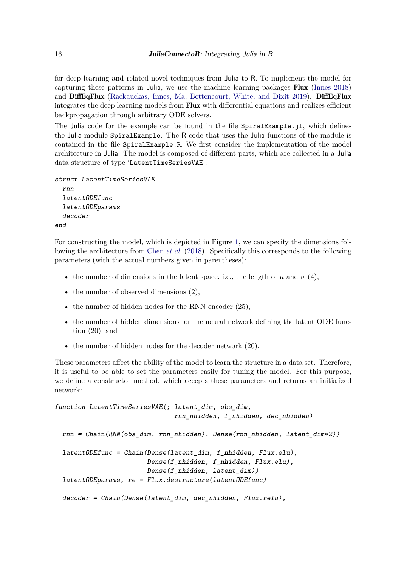for deep learning and related novel techniques from Julia to R. To implement the model for capturing these patterns in Julia, we use the machine learning packages Flux [\(Innes](#page-21-3) [2018\)](#page-21-3) and DiffEqFlux [\(Rackauckas, Innes, Ma, Bettencourt, White, and Dixit](#page-22-12) [2019\)](#page-22-12). DiffEqFlux integrates the deep learning models from Flux with differential equations and realizes efficient backpropagation through arbitrary ODE solvers.

The Julia code for the example can be found in the file SpiralExample.jl, which defines the Julia module SpiralExample. The R code that uses the Julia functions of the module is contained in the file SpiralExample.R. We first consider the implementation of the model architecture in Julia. The model is composed of different parts, which are collected in a Julia data structure of type 'LatentTimeSeriesVAE':

```
struct LatentTimeSeriesVAE
 rnn
  latentODEfunc
 latentODEparams
  decoder
end
```
For constructing the model, which is depicted in Figure [1,](#page-13-0) we can specify the dimensions following the architecture from [Chen](#page-20-2) *et al.* [\(2018\)](#page-20-2). Specifically this corresponds to the following parameters (with the actual numbers given in parentheses):

- the number of dimensions in the latent space, i.e., the length of  $\mu$  and  $\sigma$  (4),
- the number of observed dimensions  $(2)$ ,
- the number of hidden nodes for the RNN encoder  $(25)$ ,
- the number of hidden dimensions for the neural network defining the latent ODE function (20), and
- the number of hidden nodes for the decoder network (20).

These parameters affect the ability of the model to learn the structure in a data set. Therefore, it is useful to be able to set the parameters easily for tuning the model. For this purpose, we define a constructor method, which accepts these parameters and returns an initialized network:

```
function LatentTimeSeriesVAE(; latent_dim, obs_dim,
                               rnn_nhidden, f_nhidden, dec_nhidden)
 rnn = Chain(RNN(obs_dim, rnn_nhidden), Dense(rnn_nhidden, latent_dim*2))
 latentODEfunc = Chain(Dense(latent_dim, f_nhidden, Flux.elu),
                        Dense(f_nhidden, f_nhidden, Flux.elu),
                        Dense(f_nhidden, latent_dim))
 latentODEparams, re = Flux.destructure(latentODEfunc)
 decoder = Chain(Dense(latent_dim, dec_nhidden, Flux.relu),
```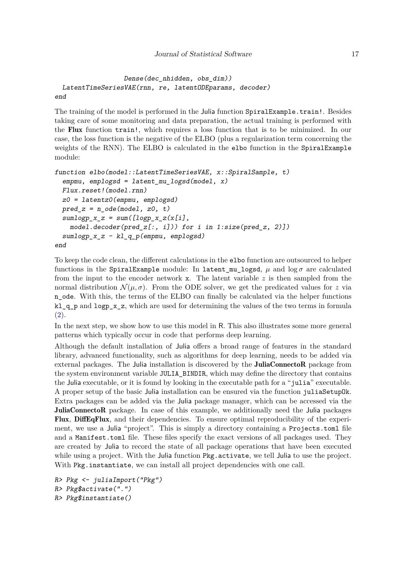```
Dense(dec_nhidden, obs_dim))
 LatentTimeSeriesVAE(rnn, re, latentODEparams, decoder)
end
```
The training of the model is performed in the Julia function SpiralExample.train!. Besides taking care of some monitoring and data preparation, the actual training is performed with the Flux function train!, which requires a loss function that is to be minimized. In our case, the loss function is the negative of the ELBO (plus a regularization term concerning the weights of the RNN). The ELBO is calculated in the elbo function in the SpiralExample module:

```
function elbo(model::LatentTimeSeriesVAE, x::SpiralSample, t)
  empmu, emplogsd = latent_mu_logsd(model, x)Flux.reset!(model.rnn)
 z0 = latentz0(empmu, emplogsd)
 pred_z = n\_ode(model, z0, t)sumlogp_x z = sum([logp_x_z(x[i],model.decoder(pred_z[:, i])) for i in 1:size(pred_z, 2)])
 sumlogp_x_z - kl_q_p(empmu, emplogsd)
end
```
To keep the code clean, the different calculations in the elbo function are outsourced to helper functions in the SpiralExample module: In latent mu\_logsd,  $\mu$  and  $\log \sigma$  are calculated from the input to the encoder network x. The latent variable *z* is then sampled from the normal distribution  $\mathcal{N}(\mu, \sigma)$ . From the ODE solver, we get the predicated values for *z* via n\_ode. With this, the terms of the ELBO can finally be calculated via the helper functions kl\_q\_p and logp\_x\_z, which are used for determining the values of the two terms in formula [\(2\)](#page-13-1).

In the next step, we show how to use this model in R. This also illustrates some more general patterns which typically occur in code that performs deep learning.

Although the default installation of Julia offers a broad range of features in the standard library, advanced functionality, such as algorithms for deep learning, needs to be added via external packages. The Julia installation is discovered by the JuliaConnectoR package from the system environment variable JULIA\_BINDIR, which may define the directory that contains the Julia executable, or it is found by looking in the executable path for a "julia" executable. A proper setup of the basic Julia installation can be ensured via the function juliaSetupOk. Extra packages can be added via the Julia package manager, which can be accessed via the JuliaConnectoR package. In case of this example, we additionally need the Julia packages Flux, DiffEqFlux, and their dependencies. To ensure optimal reproducibility of the experiment, we use a Julia "project". This is simply a directory containing a Projects.toml file and a Manifest.toml file. These files specify the exact versions of all packages used. They are created by Julia to record the state of all package operations that have been executed while using a project. With the Julia function Pkg.activate, we tell Julia to use the project. With Pkg. instantiate, we can install all project dependencies with one call.

```
R> Pkg <- juliaImport("Pkg")
R> Pkg$activate(".")
R> Pkg$instantiate()
```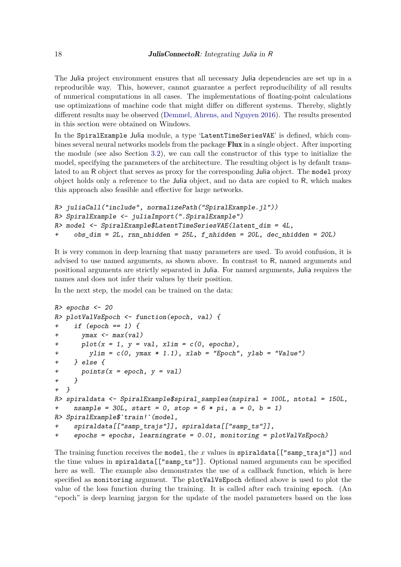The Julia project environment ensures that all necessary Julia dependencies are set up in a reproducible way. This, however, cannot guarantee a perfect reproducibility of all results of numerical computations in all cases. The implementations of floating-point calculations use optimizations of machine code that might differ on different systems. Thereby, slightly different results may be observed [\(Demmel, Ahrens, and Nguyen](#page-20-15) [2016\)](#page-20-15). The results presented in this section were obtained on Windows.

In the SpiralExample Julia module, a type 'LatentTimeSeriesVAE' is defined, which combines several neural networks models from the package Flux in a single object. After importing the module (see also Section [3.2\)](#page-5-0), we can call the constructor of this type to initialize the model, specifying the parameters of the architecture. The resulting object is by default translated to an R object that serves as proxy for the corresponding Julia object. The model proxy object holds only a reference to the Julia object, and no data are copied to R, which makes this approach also feasible and effective for large networks.

```
R> juliaCall("include", normalizePath("SpiralExample.jl"))
R> SpiralExample <- juliaImport(".SpiralExample")
R> model <- SpiralExample$LatentTimeSeriesVAE(latent_dim = 4L,
+ obs_dim = 2L, rnn_nhidden = 25L, f_nhidden = 20L, dec_nhidden = 20L)
```
It is very common in deep learning that many parameters are used. To avoid confusion, it is advised to use named arguments, as shown above. In contrast to R, named arguments and positional arguments are strictly separated in Julia. For named arguments, Julia requires the names and does not infer their values by their position.

In the next step, the model can be trained on the data:

```
R> epochs \leq 20
R> plotValVsEpoch <- function(epoch, val) {
+ if (epoch == 1) {
+ ymax <- max(val)
+ plot(x = 1, y = val, xlim = c(0, epochs),+ ylim = c(0, ymax * 1.1), xlab = "Epoch", ylab = "Value")+ } else {
+ points(x = epoch, y = val)+ }
+ }
R> spiraldata <- SpiralExample$spiral_samples(nspiral = 100L, ntotal = 150L,
+ nsample = 30L, start = 0, stop = 6 * pi, a = 0, b = 1)
R> SpiralExample$`train!`(model,
    spiraldata[["samp_trajs"]], spiraldata[["samp_ts"]],
+ epochs = epochs, learningrate = 0.01, monitoring = plotValVsEpoch)
```
The training function receives the model, the *x* values in spiraldata[["samp\_trajs"]] and the time values in spiraldata[["samp\_ts"]]. Optional named arguments can be specified here as well. The example also demonstrates the use of a callback function, which is here specified as monitoring argument. The plotValVsEpoch defined above is used to plot the value of the loss function during the training. It is called after each training epoch. (An "epoch" is deep learning jargon for the update of the model parameters based on the loss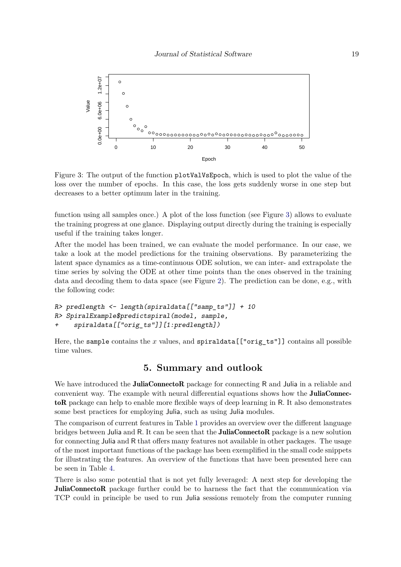

<span id="page-18-0"></span>Figure 3: The output of the function plotValVsEpoch, which is used to plot the value of the loss over the number of epochs. In this case, the loss gets suddenly worse in one step but decreases to a better optimum later in the training.

function using all samples once.) A plot of the loss function (see Figure [3\)](#page-18-0) allows to evaluate the training progress at one glance. Displaying output directly during the training is especially useful if the training takes longer.

After the model has been trained, we can evaluate the model performance. In our case, we take a look at the model predictions for the training observations. By parameterizing the latent space dynamics as a time-continuous ODE solution, we can inter- and extrapolate the time series by solving the ODE at other time points than the ones observed in the training data and decoding them to data space (see Figure [2\)](#page-14-0). The prediction can be done, e.g., with the following code:

```
R> predlength <- length(spiraldata[["samp_ts"]] + 10
R> SpiralExample$predictspiral(model, sample,
     spiraldata[["orig_ts"]][1:predlength])
```
Here, the sample contains the *x* values, and spiraldata [["orig\_ts"]] contains all possible time values.

# **5. Summary and outlook**

We have introduced the **JuliaConnectoR** package for connecting R and Julia in a reliable and convenient way. The example with neural differential equations shows how the **JuliaConnec**toR package can help to enable more flexible ways of deep learning in R. It also demonstrates some best practices for employing Julia, such as using Julia modules.

The comparison of current features in Table [1](#page-4-0) provides an overview over the different language bridges between Julia and R. It can be seen that the **JuliaConnectoR** package is a new solution for connecting Julia and R that offers many features not available in other packages. The usage of the most important functions of the package has been exemplified in the small code snippets for illustrating the features. An overview of the functions that have been presented here can be seen in Table [4.](#page-19-1)

There is also some potential that is not yet fully leveraged: A next step for developing the JuliaConnectoR package further could be to harness the fact that the communication via TCP could in principle be used to run Julia sessions remotely from the computer running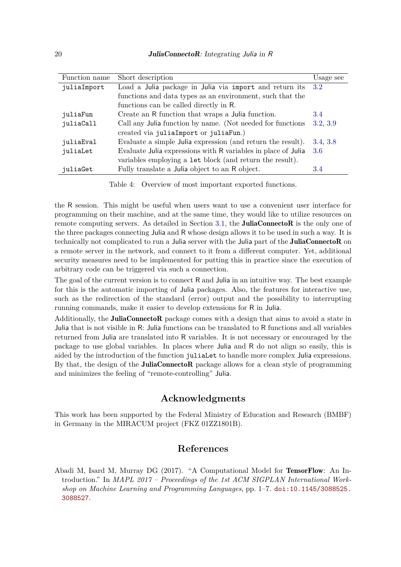| Function name | Short description                                             | Usage see |
|---------------|---------------------------------------------------------------|-----------|
| juliaImport   | Load a Julia package in Julia via import and return its       | 3.2       |
|               | functions and data types as an environment, such that the     |           |
|               | functions can be called directly in R.                        |           |
| juliaFun      | Create an R function that wraps a Julia function.             | 3.4       |
| juliaCall     | Call any Julia function by name. (Not needed for functions    | 3.2, 3.9  |
|               | created via juliaImport or juliaFun.)                         |           |
| juliaEval     | Evaluate a simple Julia expression (and return the result).   | 3.4, 3.8  |
| juliaLet      | Evaluate Julia expressions with R variables in place of Julia | 3.6       |
|               | variables employing a let block (and return the result).      |           |
| juliaGet      | Fully translate a Julia object to an R object.                | 3.4       |

<span id="page-19-1"></span>Table 4: Overview of most important exported functions.

the R session. This might be useful when users want to use a convenient user interface for programming on their machine, and at the same time, they would like to utilize resources on remote computing servers. As detailed in Section [3.1,](#page-3-0) the **JuliaConnectoR** is the only one of the three packages connecting Julia and R whose design allows it to be used in such a way. It is technically not complicated to run a Julia server with the Julia part of the JuliaConnectoR on a remote server in the network, and connect to it from a different computer. Yet, additional security measures need to be implemented for putting this in practice since the execution of arbitrary code can be triggered via such a connection.

The goal of the current version is to connect R and Julia in an intuitive way. The best example for this is the automatic importing of Julia packages. Also, the features for interactive use, such as the redirection of the standard (error) output and the possibility to interrupting running commands, make it easier to develop extensions for R in Julia.

Additionally, the JuliaConnectoR package comes with a design that aims to avoid a state in Julia that is not visible in R: Julia functions can be translated to R functions and all variables returned from Julia are translated into R variables. It is not necessary or encouraged by the package to use global variables. In places where Julia and R do not align so easily, this is aided by the introduction of the function juliaLet to handle more complex Julia expressions. By that, the design of the **JuliaConnectoR** package allows for a clean style of programming and minimizes the feeling of "remote-controlling" Julia.

# **Acknowledgments**

This work has been supported by the Federal Ministry of Education and Research (BMBF) in Germany in the MIRACUM project (FKZ 01ZZ1801B).

# **References**

<span id="page-19-0"></span>Abadi M, Isard M, Murray DG (2017). "A Computational Model for TensorFlow: An Introduction." In *MAPL 2017 – Proceedings of the 1st ACM SIGPLAN International Workshop on Machine Learning and Programming Languages*, pp. 1–7. [doi:10.1145/3088525.](https://doi.org/10.1145/3088525.3088527) [3088527](https://doi.org/10.1145/3088525.3088527).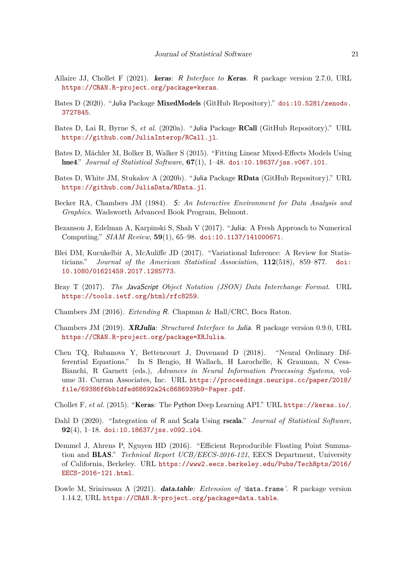- <span id="page-20-7"></span>Allaire JJ, Chollet F (2021). keras*:* R *Interface to* Keras. R package version 2.7.0, URL <https://CRAN.R-project.org/package=keras>.
- <span id="page-20-3"></span>Bates D (2020). "Julia Package MixedModels (GitHub Repository)." [doi:10.5281/zenodo.](https://doi.org/10.5281/zenodo.3727845) [3727845](https://doi.org/10.5281/zenodo.3727845).
- <span id="page-20-12"></span>Bates D, Lai R, Byrne S, *et al.* (2020a). "Julia Package RCall (GitHub Repository)." URL <https://github.com/JuliaInterop/RCall.jl>.
- <span id="page-20-9"></span>Bates D, Mächler M, Bolker B, Walker S (2015). "Fitting Linear Mixed-Effects Models Using lme4." *Journal of Statistical Software*, **67**(1), 1–48. [doi:10.18637/jss.v067.i01](https://doi.org/10.18637/jss.v067.i01).
- <span id="page-20-10"></span>Bates D, White JM, Stukalov A (2020b). "Julia Package RData (GitHub Repository)." URL <https://github.com/JuliaData/RData.jl>.
- <span id="page-20-1"></span>Becker RA, Chambers JM (1984). S*: An Interactive Environment for Data Analysis and Graphics*. Wadsworth Advanced Book Program, Belmont.
- <span id="page-20-0"></span>Bezanson J, Edelman A, Karpinski S, Shah V (2017). "Julia: A Fresh Approach to Numerical Computing." *SIAM Review*, **59**(1), 65–98. [doi:10.1137/141000671](https://doi.org/10.1137/141000671).
- <span id="page-20-14"></span>Blei DM, Kucukelbir A, McAuliffe JD (2017). "Variational Inference: A Review for Statisticians." *Journal of the American Statistical Association*, **112**(518), 859–877. [doi:](https://doi.org/10.1080/01621459.2017.1285773) [10.1080/01621459.2017.1285773](https://doi.org/10.1080/01621459.2017.1285773).
- <span id="page-20-11"></span>Bray T (2017). *The* JavaScript *Object Notation (JSON) Data Interchange Format*. URL <https://tools.ietf.org/html/rfc8259>.
- <span id="page-20-5"></span>Chambers JM (2016). *Extending* R. Chapman & Hall/CRC, Boca Raton.
- <span id="page-20-4"></span>Chambers JM (2019). XRJulia*: Structured Interface to* Julia. R package version 0.9.0, URL <https://CRAN.R-project.org/package=XRJulia>.
- <span id="page-20-2"></span>Chen TQ, Rubanova Y, Bettencourt J, Duvenaud D (2018). "Neural Ordinary Differential Equations." In S Bengio, H Wallach, H Larochelle, K Grauman, N Cesa-Bianchi, R Garnett (eds.), *Advances in Neural Information Processing Systems*, volume 31. Curran Associates, Inc. URL [https://proceedings.neurips.cc/paper/2018/](https://proceedings.neurips.cc/paper/2018/file/69386f6bb1dfed68692a24c8686939b9-Paper.pdf) [file/69386f6bb1dfed68692a24c8686939b9-Paper.pdf](https://proceedings.neurips.cc/paper/2018/file/69386f6bb1dfed68692a24c8686939b9-Paper.pdf).

<span id="page-20-8"></span>Chollet F, *et al.* (2015). "Keras: The Python Deep Learning API." URL <https://keras.io/>.

- <span id="page-20-6"></span>Dahl D (2020). "Integration of R and Scala Using rscala." *Journal of Statistical Software*, **92**(4), 1–18. [doi:10.18637/jss.v092.i04](https://doi.org/10.18637/jss.v092.i04).
- <span id="page-20-15"></span>Demmel J, Ahrens P, Nguyen HD (2016). "Efficient Reproducible Floating Point Summation and BLAS." *Technical Report UCB/EECS-2016-121*, EECS Department, University of California, Berkeley. URL [https://www2.eecs.berkeley.edu/Pubs/TechRpts/2016/](https://www2.eecs.berkeley.edu/Pubs/TechRpts/2016/EECS-2016-121.html) [EECS-2016-121.html](https://www2.eecs.berkeley.edu/Pubs/TechRpts/2016/EECS-2016-121.html).
- <span id="page-20-13"></span>Dowle M, Srinivasan A (2021). data.table*: Extension of '*data.frame*'*. R package version 1.14.2, URL <https://CRAN.R-project.org/package=data.table>.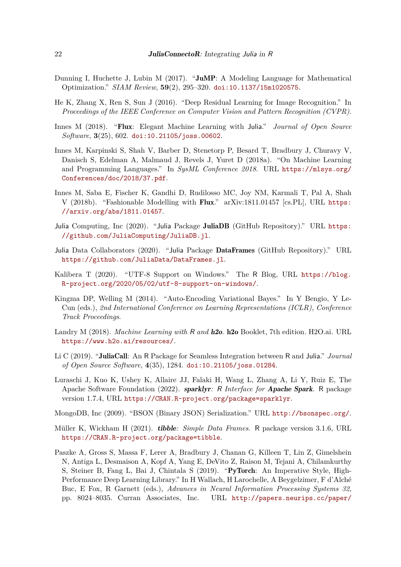- <span id="page-21-0"></span>Dunning I, Huchette J, Lubin M (2017). "JuMP: A Modeling Language for Mathematical Optimization." *SIAM Review*, **59**(2), 295–320. [doi:10.1137/15m1020575](https://doi.org/10.1137/15m1020575).
- <span id="page-21-13"></span>He K, Zhang X, Ren S, Sun J (2016). "Deep Residual Learning for Image Recognition." In *Proceedings of the IEEE Conference on Computer Vision and Pattern Recognition (CVPR)*.
- <span id="page-21-3"></span>Innes M (2018). "Flux: Elegant Machine Learning with Julia." *Journal of Open Source Software*, **3**(25), 602. [doi:10.21105/joss.00602](https://doi.org/10.21105/joss.00602).
- <span id="page-21-5"></span>Innes M, Karpinski S, Shah V, Barber D, Stenetorp P, Besard T, Bradbury J, Churavy V, Danisch S, Edelman A, Malmaud J, Revels J, Yuret D (2018a). "On Machine Learning and Programming Languages." In *SysML Conference 2018*. URL [https://mlsys.org/](https://mlsys.org/Conferences/doc/2018/37.pdf) [Conferences/doc/2018/37.pdf](https://mlsys.org/Conferences/doc/2018/37.pdf).
- <span id="page-21-4"></span>Innes M, Saba E, Fischer K, Gandhi D, Rudilosso MC, Joy NM, Karmali T, Pal A, Shah V (2018b). "Fashionable Modelling with Flux." arXiv:1811.01457 [cs.PL], URL [https:](https://arxiv.org/abs/1811.01457) [//arxiv.org/abs/1811.01457](https://arxiv.org/abs/1811.01457).
- <span id="page-21-12"></span>Julia Computing, Inc (2020). "Julia Package JuliaDB (GitHub Repository)." URL [https:](https://github.com/JuliaComputing/JuliaDB.jl) [//github.com/JuliaComputing/JuliaDB.jl](https://github.com/JuliaComputing/JuliaDB.jl).
- <span id="page-21-11"></span>Julia Data Collaborators (2020). "Julia Package DataFrames (GitHub Repository)." URL <https://github.com/JuliaData/DataFrames.jl>.
- <span id="page-21-9"></span>Kalibera T (2020). "UTF-8 Support on Windows." The R Blog, URL [https://blog.](https://blog.R-project.org/2020/05/02/utf-8-support-on-windows/) [R-project.org/2020/05/02/utf-8-support-on-windows/](https://blog.R-project.org/2020/05/02/utf-8-support-on-windows/).
- <span id="page-21-14"></span>Kingma DP, Welling M (2014). "Auto-Encoding Variational Bayes." In Y Bengio, Y Le-Cun (eds.), *2nd International Conference on Learning Representations (ICLR), Conference Track Proceedings*.
- <span id="page-21-6"></span>Landry M (2018). *Machine Learning with* R *and* h2o. h2o Booklet, 7th edition. H2O.ai. URL <https://www.h2o.ai/resources/>.
- <span id="page-21-1"></span>Li C (2019). "JuliaCall: An R Package for Seamless Integration between R and Julia." *Journal of Open Source Software*, **4**(35), 1284. [doi:10.21105/joss.01284](https://doi.org/10.21105/joss.01284).
- <span id="page-21-7"></span>Luraschi J, Kuo K, Ushey K, Allaire JJ, Falaki H, Wang L, Zhang A, Li Y, Ruiz E, The Apache Software Foundation (2022). sparklyr*:* R *Interface for* Apache Spark. R package version 1.7.4, URL <https://CRAN.R-project.org/package=sparklyr>.
- <span id="page-21-8"></span>MongoDB, Inc (2009). "BSON (Binary JSON) Serialization." URL <http://bsonspec.org/>.
- <span id="page-21-10"></span>Müller K, Wickham H (2021). tibble*: Simple Data Frames*. R package version 3.1.6, URL <https://CRAN.R-project.org/package=tibble>.
- <span id="page-21-2"></span>Paszke A, Gross S, Massa F, Lerer A, Bradbury J, Chanan G, Killeen T, Lin Z, Gimelshein N, Antiga L, Desmaison A, Kopf A, Yang E, DeVito Z, Raison M, Tejani A, Chilamkurthy S, Steiner B, Fang L, Bai J, Chintala S (2019). "PyTorch: An Imperative Style, High-Performance Deep Learning Library." In H Wallach, H Larochelle, A Beygelzimer, F d'Alché Buc, E Fox, R Garnett (eds.), *Advances in Neural Information Processing Systems 32*, pp. 8024–8035. Curran Associates, Inc. URL [http://papers.neurips.cc/paper/](http://papers.neurips.cc/paper/9015-pytorch-an-imperative-style-high-performance-deep-learning-library.pdf)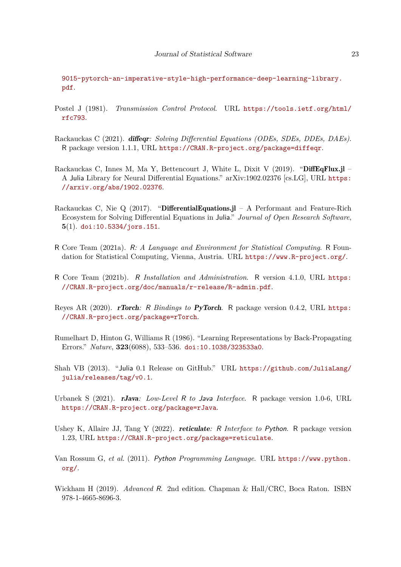[9015-pytorch-an-imperative-style-high-performance-deep-learning-library.](http://papers.neurips.cc/paper/9015-pytorch-an-imperative-style-high-performance-deep-learning-library.pdf) [pdf](http://papers.neurips.cc/paper/9015-pytorch-an-imperative-style-high-performance-deep-learning-library.pdf).

- <span id="page-22-9"></span>Postel J (1981). *Transmission Control Protocol*. URL [https://tools.ietf.org/html/](https://tools.ietf.org/html/rfc793) [rfc793](https://tools.ietf.org/html/rfc793).
- <span id="page-22-3"></span>Rackauckas C (2021). diffeqr*: Solving Differential Equations (ODEs, SDEs, DDEs, DAEs)*. R package version 1.1.1, URL <https://CRAN.R-project.org/package=diffeqr>.
- <span id="page-22-12"></span>Rackauckas C, Innes M, Ma Y, Bettencourt J, White L, Dixit V (2019). "DiffEqFlux.jl – A Julia Library for Neural Differential Equations." arXiv:1902.02376 [cs.LG], URL [https:](https://arxiv.org/abs/1902.02376) [//arxiv.org/abs/1902.02376](https://arxiv.org/abs/1902.02376).
- <span id="page-22-2"></span>Rackauckas C, Nie Q (2017). "DifferentialEquations.jl – A Performant and Feature-Rich Ecosystem for Solving Differential Equations in Julia." *Journal of Open Research Software*, **5**(1). [doi:10.5334/jors.151](https://doi.org/10.5334/jors.151).
- <span id="page-22-0"></span>R Core Team (2021a). R*: A Language and Environment for Statistical Computing*. R Foundation for Statistical Computing, Vienna, Austria. URL <https://www.R-project.org/>.
- <span id="page-22-10"></span>R Core Team (2021b). R *Installation and Administration*. R version 4.1.0, URL [https:](https://CRAN.R-project.org/doc/manuals/r-release/R-admin.pdf) [//CRAN.R-project.org/doc/manuals/r-release/R-admin.pdf](https://CRAN.R-project.org/doc/manuals/r-release/R-admin.pdf).
- <span id="page-22-6"></span>Reyes AR (2020). rTorch*:* R *Bindings to* PyTorch. R package version 0.4.2, URL [https:](https://CRAN.R-project.org/package=rTorch) [//CRAN.R-project.org/package=rTorch](https://CRAN.R-project.org/package=rTorch).
- <span id="page-22-11"></span>Rumelhart D, Hinton G, Williams R (1986). "Learning Representations by Back-Propagating Errors." *Nature*, **323**(6088), 533–536. [doi:10.1038/323533a0](https://doi.org/10.1038/323533a0).
- <span id="page-22-1"></span>Shah VB (2013). "Julia 0.1 Release on GitHub." URL [https://github.com/JuliaLang/](https://github.com/JuliaLang/julia/releases/tag/v0.1) [julia/releases/tag/v0.1](https://github.com/JuliaLang/julia/releases/tag/v0.1).
- <span id="page-22-4"></span>Urbanek S (2021). rJava*: Low-Level* R *to* Java *Interface*. R package version 1.0-6, URL <https://CRAN.R-project.org/package=rJava>.
- <span id="page-22-5"></span>Ushey K, Allaire JJ, Tang Y (2022). reticulate*:* R *Interface to* Python. R package version 1.23, URL <https://CRAN.R-project.org/package=reticulate>.
- <span id="page-22-7"></span>Van Rossum G, *et al.* (2011). Python *Programming Language*. URL [https://www.python.](https://www.python.org/) [org/](https://www.python.org/).
- <span id="page-22-8"></span>Wickham H (2019). *Advanced* R. 2nd edition. Chapman & Hall/CRC, Boca Raton. ISBN 978-1-4665-8696-3.